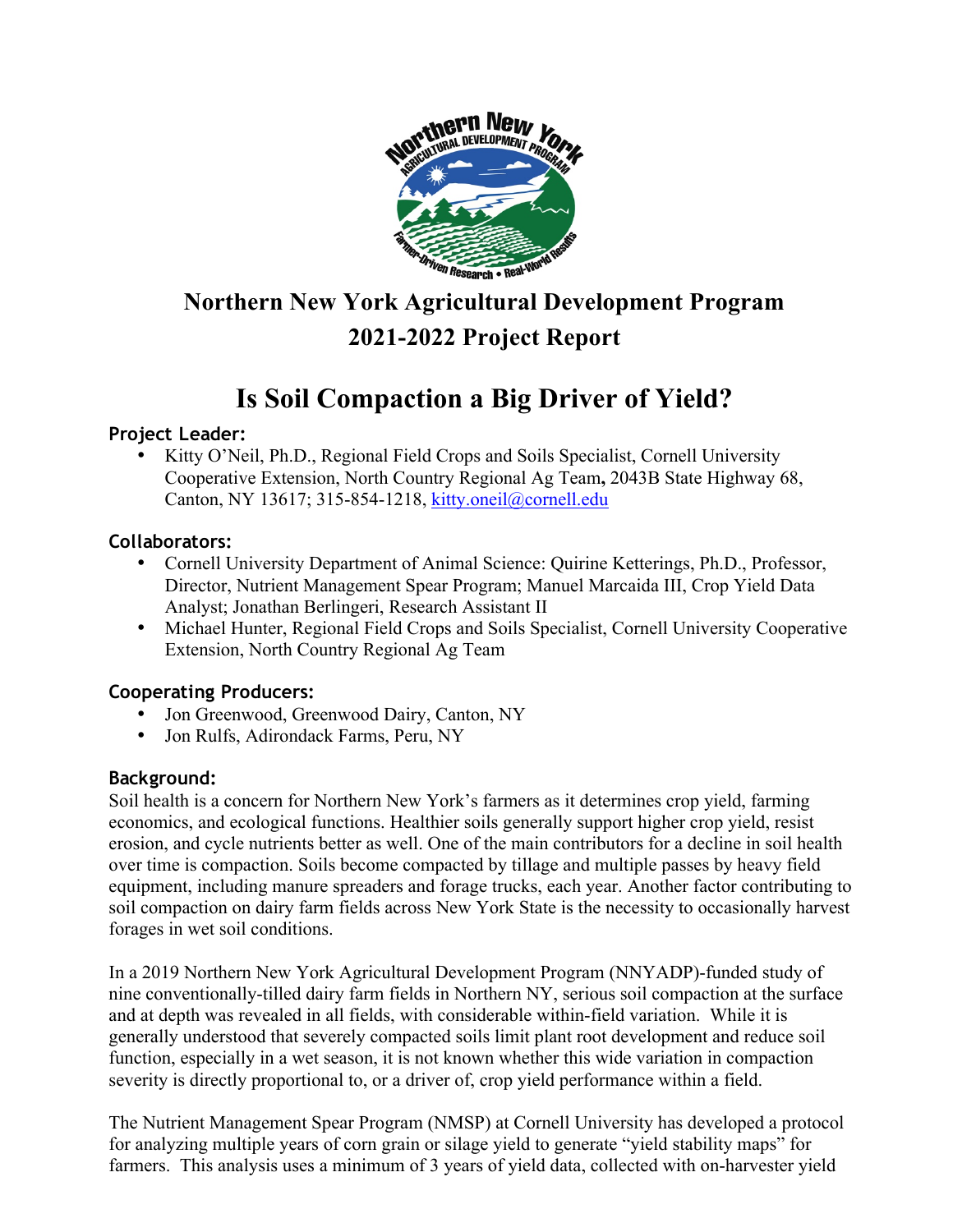

# **Northern New York Agricultural Development Program 2021-2022 Project Report**

# **Is Soil Compaction a Big Driver of Yield?**

### **Project Leader:**

• Kitty O'Neil, Ph.D., Regional Field Crops and Soils Specialist, Cornell University Cooperative Extension, North Country Regional Ag Team**,** 2043B State Highway 68, Canton, NY 13617; 315-854-1218, kitty.oneil@cornell.edu

### **Collaborators:**

- Cornell University Department of Animal Science: Quirine Ketterings, Ph.D., Professor, Director, Nutrient Management Spear Program; Manuel Marcaida III, Crop Yield Data Analyst; Jonathan Berlingeri, Research Assistant II
- Michael Hunter, Regional Field Crops and Soils Specialist, Cornell University Cooperative Extension, North Country Regional Ag Team

### **Cooperating Producers:**

- Jon Greenwood, Greenwood Dairy, Canton, NY
- Jon Rulfs, Adirondack Farms, Peru, NY

## **Background:**

Soil health is a concern for Northern New York's farmers as it determines crop yield, farming economics, and ecological functions. Healthier soils generally support higher crop yield, resist erosion, and cycle nutrients better as well. One of the main contributors for a decline in soil health over time is compaction. Soils become compacted by tillage and multiple passes by heavy field equipment, including manure spreaders and forage trucks, each year. Another factor contributing to soil compaction on dairy farm fields across New York State is the necessity to occasionally harvest forages in wet soil conditions.

In a 2019 Northern New York Agricultural Development Program (NNYADP)-funded study of nine conventionally-tilled dairy farm fields in Northern NY, serious soil compaction at the surface and at depth was revealed in all fields, with considerable within-field variation. While it is generally understood that severely compacted soils limit plant root development and reduce soil function, especially in a wet season, it is not known whether this wide variation in compaction severity is directly proportional to, or a driver of, crop yield performance within a field.

The Nutrient Management Spear Program (NMSP) at Cornell University has developed a protocol for analyzing multiple years of corn grain or silage yield to generate "yield stability maps" for farmers. This analysis uses a minimum of 3 years of yield data, collected with on-harvester yield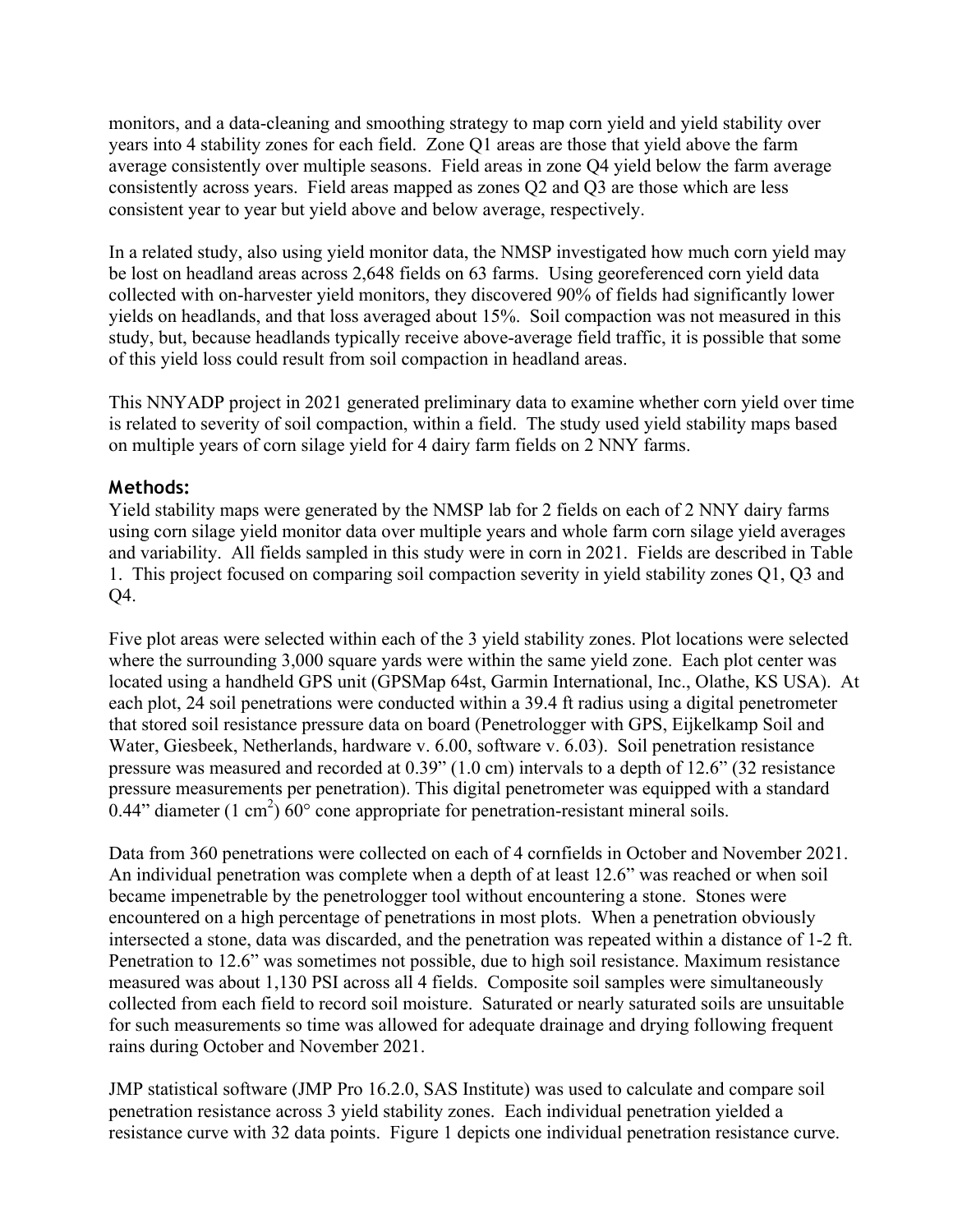monitors, and a data-cleaning and smoothing strategy to map corn yield and yield stability over years into 4 stability zones for each field. Zone Q1 areas are those that yield above the farm average consistently over multiple seasons. Field areas in zone Q4 yield below the farm average consistently across years. Field areas mapped as zones Q2 and Q3 are those which are less consistent year to year but yield above and below average, respectively.

In a related study, also using yield monitor data, the NMSP investigated how much corn yield may be lost on headland areas across 2,648 fields on 63 farms. Using georeferenced corn yield data collected with on-harvester yield monitors, they discovered 90% of fields had significantly lower yields on headlands, and that loss averaged about 15%. Soil compaction was not measured in this study, but, because headlands typically receive above-average field traffic, it is possible that some of this yield loss could result from soil compaction in headland areas.

This NNYADP project in 2021 generated preliminary data to examine whether corn yield over time is related to severity of soil compaction, within a field. The study used yield stability maps based on multiple years of corn silage yield for 4 dairy farm fields on 2 NNY farms.

### **Methods:**

Yield stability maps were generated by the NMSP lab for 2 fields on each of 2 NNY dairy farms using corn silage yield monitor data over multiple years and whole farm corn silage yield averages and variability. All fields sampled in this study were in corn in 2021. Fields are described in Table 1. This project focused on comparing soil compaction severity in yield stability zones Q1, Q3 and Q4.

Five plot areas were selected within each of the 3 yield stability zones. Plot locations were selected where the surrounding 3,000 square yards were within the same yield zone. Each plot center was located using a handheld GPS unit (GPSMap 64st, Garmin International, Inc., Olathe, KS USA). At each plot, 24 soil penetrations were conducted within a 39.4 ft radius using a digital penetrometer that stored soil resistance pressure data on board (Penetrologger with GPS, Eijkelkamp Soil and Water, Giesbeek, Netherlands, hardware v. 6.00, software v. 6.03). Soil penetration resistance pressure was measured and recorded at 0.39" (1.0 cm) intervals to a depth of 12.6" (32 resistance pressure measurements per penetration). This digital penetrometer was equipped with a standard  $0.44$ " diameter (1 cm<sup>2</sup>)  $60^{\circ}$  cone appropriate for penetration-resistant mineral soils.

Data from 360 penetrations were collected on each of 4 cornfields in October and November 2021. An individual penetration was complete when a depth of at least 12.6" was reached or when soil became impenetrable by the penetrologger tool without encountering a stone. Stones were encountered on a high percentage of penetrations in most plots. When a penetration obviously intersected a stone, data was discarded, and the penetration was repeated within a distance of 1-2 ft. Penetration to 12.6" was sometimes not possible, due to high soil resistance. Maximum resistance measured was about 1,130 PSI across all 4 fields. Composite soil samples were simultaneously collected from each field to record soil moisture. Saturated or nearly saturated soils are unsuitable for such measurements so time was allowed for adequate drainage and drying following frequent rains during October and November 2021.

JMP statistical software (JMP Pro 16.2.0, SAS Institute) was used to calculate and compare soil penetration resistance across 3 yield stability zones. Each individual penetration yielded a resistance curve with 32 data points. Figure 1 depicts one individual penetration resistance curve.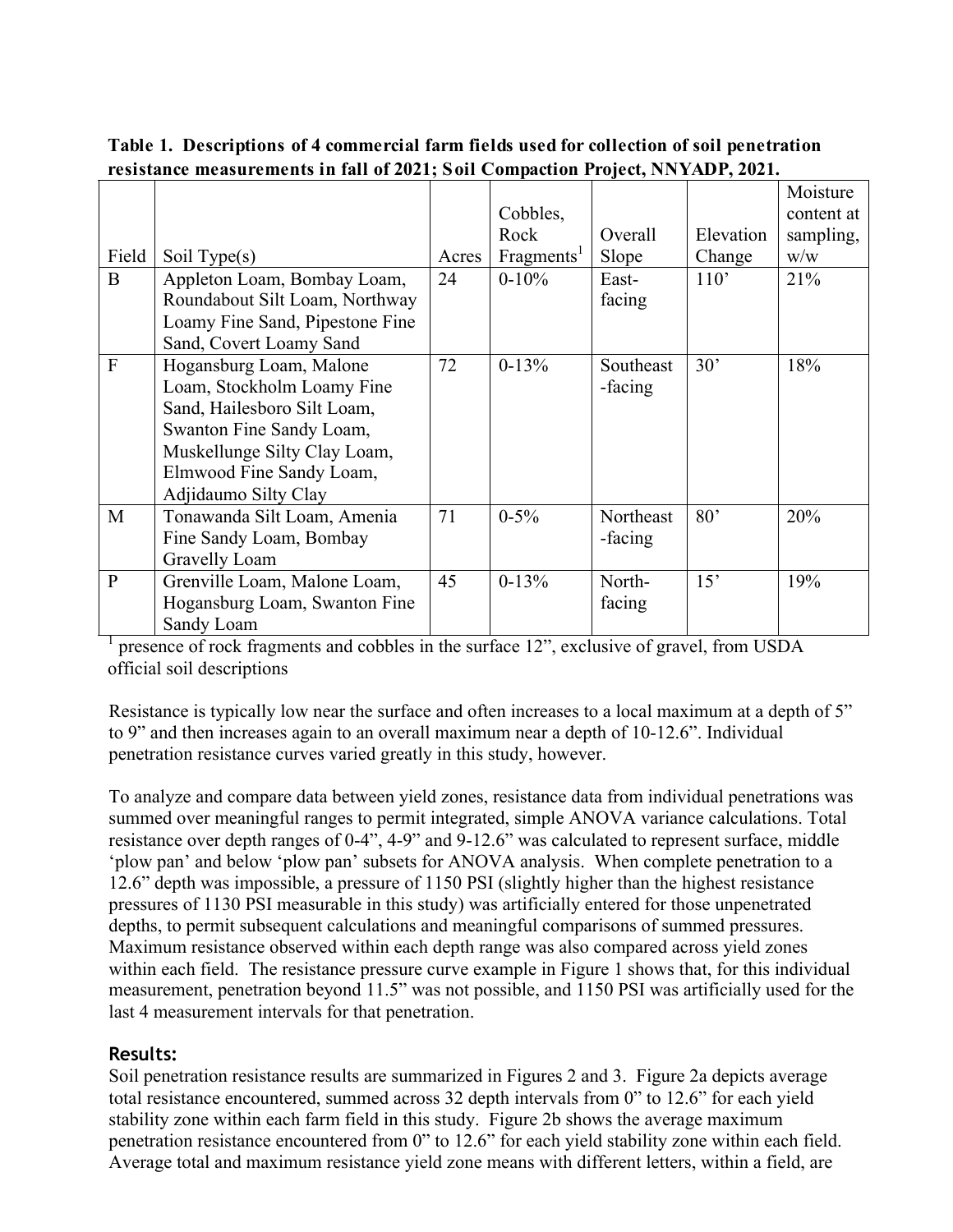| Field          | Soil Type(s)                                                                                                                                                                                         | Acres | Cobbles,<br>Rock<br>Fragments <sup>1</sup> | Overall<br>Slope     | Elevation<br>Change | Moisture<br>content at<br>sampling,<br>W/W |
|----------------|------------------------------------------------------------------------------------------------------------------------------------------------------------------------------------------------------|-------|--------------------------------------------|----------------------|---------------------|--------------------------------------------|
| B              | Appleton Loam, Bombay Loam,<br>Roundabout Silt Loam, Northway<br>Loamy Fine Sand, Pipestone Fine<br>Sand, Covert Loamy Sand                                                                          | 24    | $0 - 10\%$                                 | East-<br>facing      | 110'                | 21%                                        |
| $\overline{F}$ | Hogansburg Loam, Malone<br>Loam, Stockholm Loamy Fine<br>Sand, Hailesboro Silt Loam,<br>Swanton Fine Sandy Loam,<br>Muskellunge Silty Clay Loam,<br>Elmwood Fine Sandy Loam,<br>Adjidaumo Silty Clay | 72    | $0 - 13%$                                  | Southeast<br>-facing | 30'                 | 18%                                        |
| M              | Tonawanda Silt Loam, Amenia<br>Fine Sandy Loam, Bombay<br>Gravelly Loam                                                                                                                              | 71    | $0 - 5\%$                                  | Northeast<br>-facing | 80'                 | 20%                                        |
| $\mathbf{P}$   | Grenville Loam, Malone Loam,<br>Hogansburg Loam, Swanton Fine<br>Sandy Loam                                                                                                                          | 45    | $0-13%$                                    | North-<br>facing     | 15'                 | 19%                                        |

**Table 1. Descriptions of 4 commercial farm fields used for collection of soil penetration resistance measurements in fall of 2021; Soil Compaction Project, NNYADP, 2021.**

1 presence of rock fragments and cobbles in the surface 12", exclusive of gravel, from USDA official soil descriptions

Resistance is typically low near the surface and often increases to a local maximum at a depth of 5" to 9" and then increases again to an overall maximum near a depth of 10-12.6". Individual penetration resistance curves varied greatly in this study, however.

To analyze and compare data between yield zones, resistance data from individual penetrations was summed over meaningful ranges to permit integrated, simple ANOVA variance calculations. Total resistance over depth ranges of 0-4", 4-9" and 9-12.6" was calculated to represent surface, middle 'plow pan' and below 'plow pan' subsets for ANOVA analysis. When complete penetration to a 12.6" depth was impossible, a pressure of 1150 PSI (slightly higher than the highest resistance pressures of 1130 PSI measurable in this study) was artificially entered for those unpenetrated depths, to permit subsequent calculations and meaningful comparisons of summed pressures. Maximum resistance observed within each depth range was also compared across yield zones within each field. The resistance pressure curve example in Figure 1 shows that, for this individual measurement, penetration beyond 11.5" was not possible, and 1150 PSI was artificially used for the last 4 measurement intervals for that penetration.

#### **Results:**

Soil penetration resistance results are summarized in Figures 2 and 3. Figure 2a depicts average total resistance encountered, summed across 32 depth intervals from 0" to 12.6" for each yield stability zone within each farm field in this study. Figure 2b shows the average maximum penetration resistance encountered from 0" to 12.6" for each yield stability zone within each field. Average total and maximum resistance yield zone means with different letters, within a field, are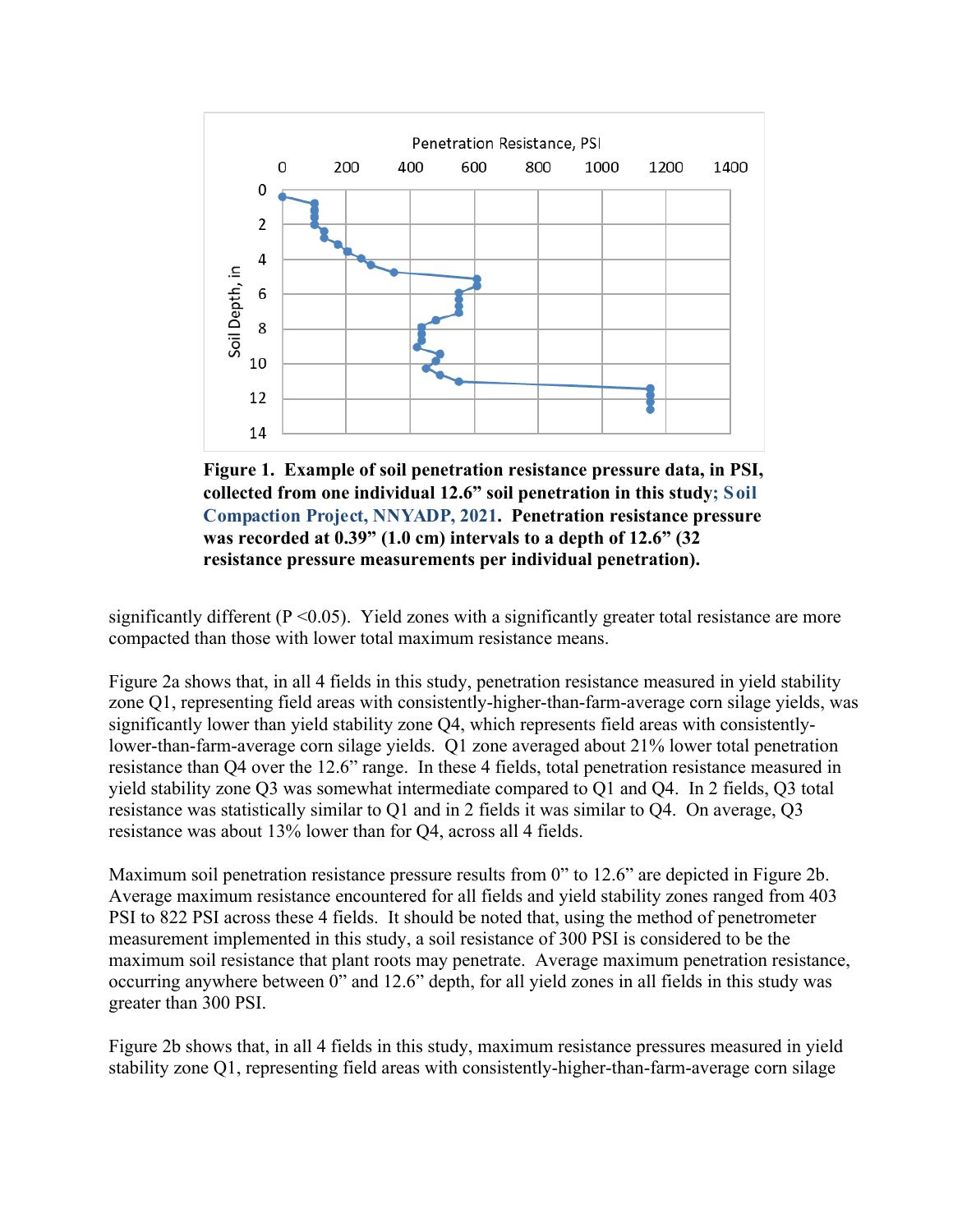

**Figure 1. Example of soil penetration resistance pressure data, in PSI, collected from one individual 12.6" soil penetration in this study; Soil Compaction Project, NNYADP, 2021. Penetration resistance pressure was recorded at 0.39" (1.0 cm) intervals to a depth of 12.6" (32 resistance pressure measurements per individual penetration).**

significantly different  $(P \le 0.05)$ . Yield zones with a significantly greater total resistance are more compacted than those with lower total maximum resistance means.

Figure 2a shows that, in all 4 fields in this study, penetration resistance measured in yield stability zone Q1, representing field areas with consistently-higher-than-farm-average corn silage yields, was significantly lower than yield stability zone Q4, which represents field areas with consistentlylower-than-farm-average corn silage yields. Q1 zone averaged about 21% lower total penetration resistance than Q4 over the 12.6" range. In these 4 fields, total penetration resistance measured in yield stability zone Q3 was somewhat intermediate compared to Q1 and Q4. In 2 fields, Q3 total resistance was statistically similar to Q1 and in 2 fields it was similar to Q4. On average, Q3 resistance was about 13% lower than for Q4, across all 4 fields.

Maximum soil penetration resistance pressure results from 0" to 12.6" are depicted in Figure 2b. Average maximum resistance encountered for all fields and yield stability zones ranged from 403 PSI to 822 PSI across these 4 fields. It should be noted that, using the method of penetrometer measurement implemented in this study, a soil resistance of 300 PSI is considered to be the maximum soil resistance that plant roots may penetrate. Average maximum penetration resistance, occurring anywhere between 0" and 12.6" depth, for all yield zones in all fields in this study was greater than 300 PSI.

Figure 2b shows that, in all 4 fields in this study, maximum resistance pressures measured in yield stability zone Q1, representing field areas with consistently-higher-than-farm-average corn silage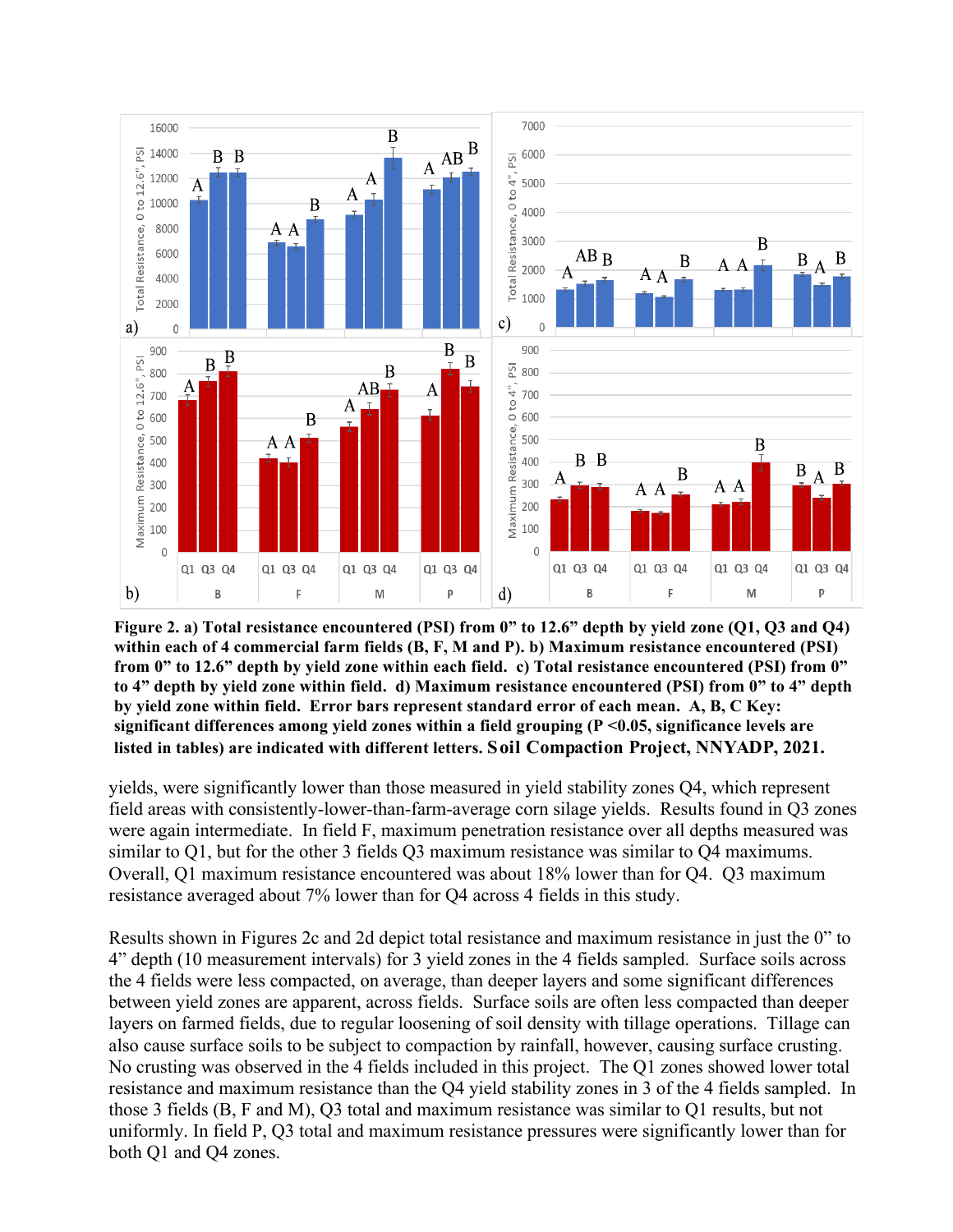![](_page_4_Figure_0.jpeg)

**Figure 2. a) Total resistance encountered (PSI) from 0" to 12.6" depth by yield zone (Q1, Q3 and Q4) within each of 4 commercial farm fields (B, F, M and P). b) Maximum resistance encountered (PSI) from 0" to 12.6" depth by yield zone within each field. c) Total resistance encountered (PSI) from 0" to 4" depth by yield zone within field. d) Maximum resistance encountered (PSI) from 0" to 4" depth by yield zone within field. Error bars represent standard error of each mean. A, B, C Key: significant differences among yield zones within a field grouping (P <0.05, significance levels are listed in tables) are indicated with different letters. Soil Compaction Project, NNYADP, 2021.**

yields, were significantly lower than those measured in yield stability zones Q4, which represent field areas with consistently-lower-than-farm-average corn silage yields. Results found in Q3 zones were again intermediate. In field F, maximum penetration resistance over all depths measured was similar to Q1, but for the other 3 fields Q3 maximum resistance was similar to Q4 maximums. Overall, Q1 maximum resistance encountered was about 18% lower than for Q4. Q3 maximum resistance averaged about 7% lower than for Q4 across 4 fields in this study.

Results shown in Figures 2c and 2d depict total resistance and maximum resistance in just the 0" to 4" depth (10 measurement intervals) for 3 yield zones in the 4 fields sampled. Surface soils across the 4 fields were less compacted, on average, than deeper layers and some significant differences between yield zones are apparent, across fields. Surface soils are often less compacted than deeper layers on farmed fields, due to regular loosening of soil density with tillage operations. Tillage can also cause surface soils to be subject to compaction by rainfall, however, causing surface crusting. No crusting was observed in the 4 fields included in this project. The Q1 zones showed lower total resistance and maximum resistance than the Q4 yield stability zones in 3 of the 4 fields sampled. In those 3 fields (B, F and M), Q3 total and maximum resistance was similar to Q1 results, but not uniformly. In field P, Q3 total and maximum resistance pressures were significantly lower than for both Q1 and Q4 zones.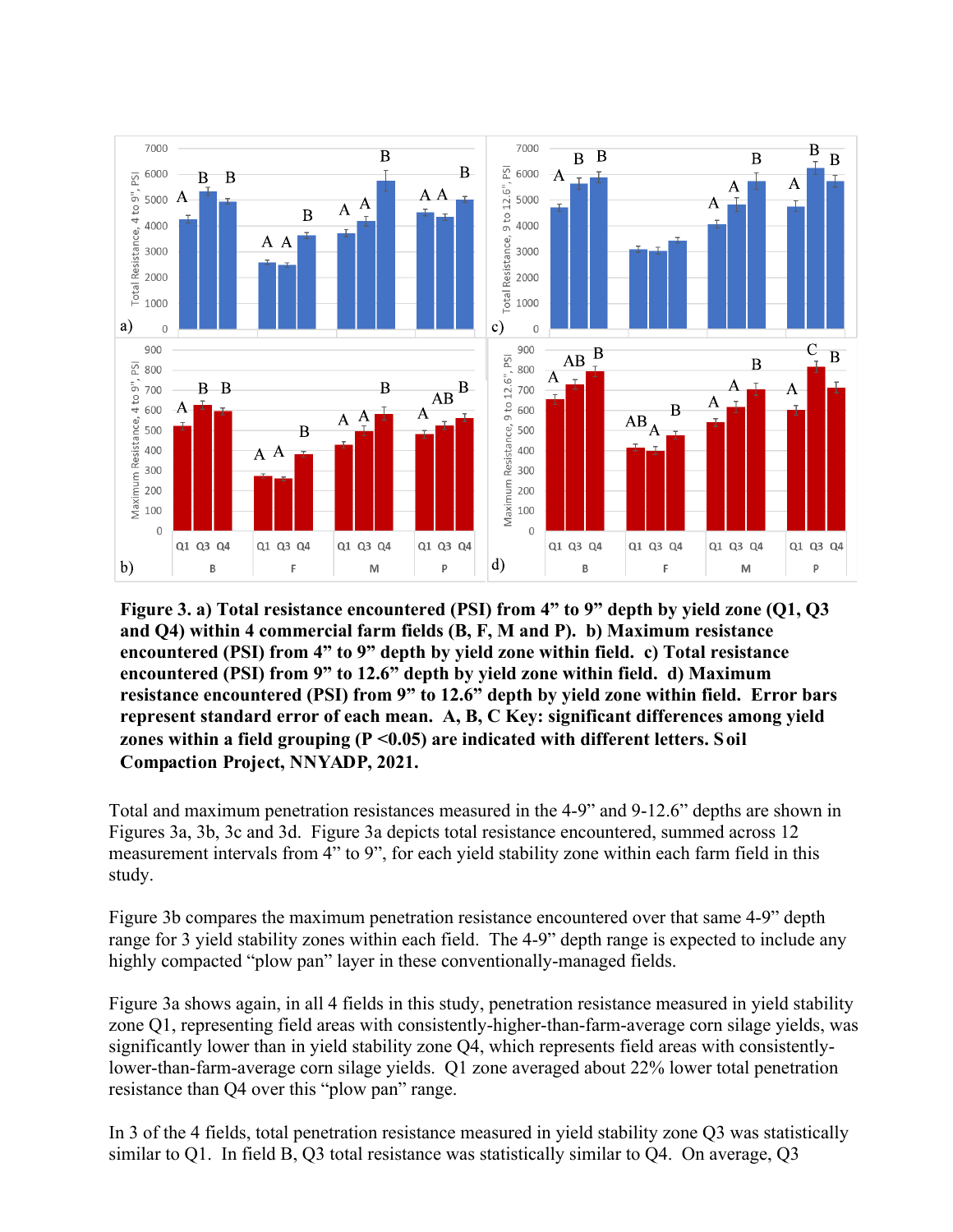![](_page_5_Figure_0.jpeg)

**Figure 3. a) Total resistance encountered (PSI) from 4" to 9" depth by yield zone (Q1, Q3 and Q4) within 4 commercial farm fields (B, F, M and P). b) Maximum resistance encountered (PSI) from 4" to 9" depth by yield zone within field. c) Total resistance encountered (PSI) from 9" to 12.6" depth by yield zone within field. d) Maximum resistance encountered (PSI) from 9" to 12.6" depth by yield zone within field. Error bars represent standard error of each mean. A, B, C Key: significant differences among yield zones within a field grouping (P <0.05) are indicated with different letters. Soil Compaction Project, NNYADP, 2021.**

Total and maximum penetration resistances measured in the 4-9" and 9-12.6" depths are shown in Figures 3a, 3b, 3c and 3d. Figure 3a depicts total resistance encountered, summed across 12 measurement intervals from 4" to 9", for each yield stability zone within each farm field in this study.

Figure 3b compares the maximum penetration resistance encountered over that same 4-9" depth range for 3 yield stability zones within each field. The 4-9" depth range is expected to include any highly compacted "plow pan" layer in these conventionally-managed fields.

Figure 3a shows again, in all 4 fields in this study, penetration resistance measured in yield stability zone Q1, representing field areas with consistently-higher-than-farm-average corn silage yields, was significantly lower than in yield stability zone Q4, which represents field areas with consistentlylower-than-farm-average corn silage yields. Q1 zone averaged about 22% lower total penetration resistance than Q4 over this "plow pan" range.

In 3 of the 4 fields, total penetration resistance measured in yield stability zone Q3 was statistically similar to Q1. In field B, Q3 total resistance was statistically similar to Q4. On average, Q3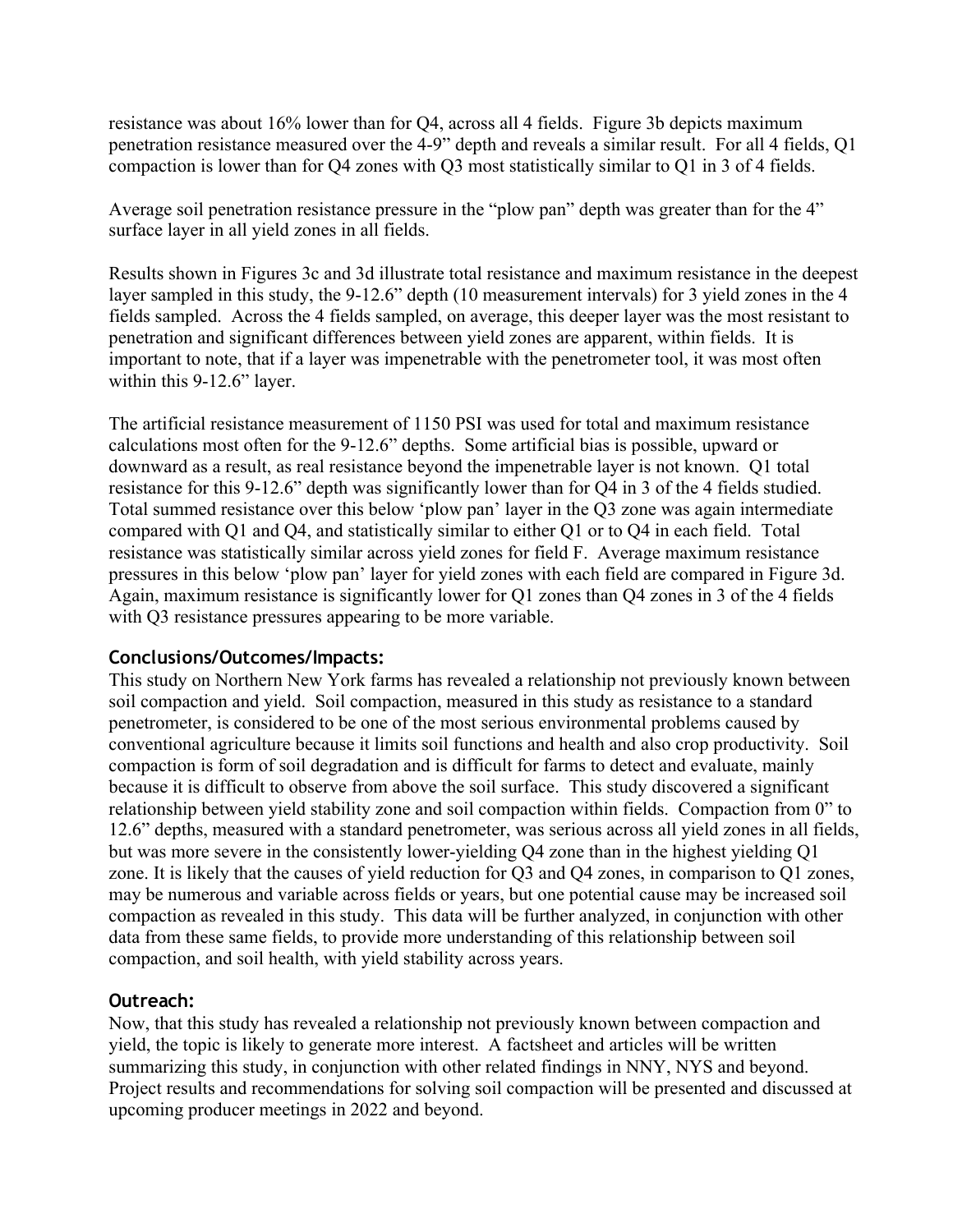resistance was about 16% lower than for Q4, across all 4 fields. Figure 3b depicts maximum penetration resistance measured over the 4-9" depth and reveals a similar result. For all 4 fields, Q1 compaction is lower than for Q4 zones with Q3 most statistically similar to Q1 in 3 of 4 fields.

Average soil penetration resistance pressure in the "plow pan" depth was greater than for the 4" surface layer in all yield zones in all fields.

Results shown in Figures 3c and 3d illustrate total resistance and maximum resistance in the deepest layer sampled in this study, the 9-12.6" depth (10 measurement intervals) for 3 yield zones in the 4 fields sampled. Across the 4 fields sampled, on average, this deeper layer was the most resistant to penetration and significant differences between yield zones are apparent, within fields. It is important to note, that if a layer was impenetrable with the penetrometer tool, it was most often within this 9-12.6" layer.

The artificial resistance measurement of 1150 PSI was used for total and maximum resistance calculations most often for the 9-12.6" depths. Some artificial bias is possible, upward or downward as a result, as real resistance beyond the impenetrable layer is not known. Q1 total resistance for this 9-12.6" depth was significantly lower than for Q4 in 3 of the 4 fields studied. Total summed resistance over this below 'plow pan' layer in the Q3 zone was again intermediate compared with Q1 and Q4, and statistically similar to either Q1 or to Q4 in each field. Total resistance was statistically similar across yield zones for field F. Average maximum resistance pressures in this below 'plow pan' layer for yield zones with each field are compared in Figure 3d. Again, maximum resistance is significantly lower for Q1 zones than Q4 zones in 3 of the 4 fields with Q3 resistance pressures appearing to be more variable.

#### **Conclusions/Outcomes/Impacts:**

This study on Northern New York farms has revealed a relationship not previously known between soil compaction and yield. Soil compaction, measured in this study as resistance to a standard penetrometer, is considered to be one of the most serious environmental problems caused by conventional agriculture because it limits soil functions and health and also crop productivity. Soil compaction is form of soil degradation and is difficult for farms to detect and evaluate, mainly because it is difficult to observe from above the soil surface. This study discovered a significant relationship between yield stability zone and soil compaction within fields. Compaction from 0" to 12.6" depths, measured with a standard penetrometer, was serious across all yield zones in all fields, but was more severe in the consistently lower-yielding Q4 zone than in the highest yielding Q1 zone. It is likely that the causes of yield reduction for Q3 and Q4 zones, in comparison to Q1 zones, may be numerous and variable across fields or years, but one potential cause may be increased soil compaction as revealed in this study. This data will be further analyzed, in conjunction with other data from these same fields, to provide more understanding of this relationship between soil compaction, and soil health, with yield stability across years.

### **Outreach:**

Now, that this study has revealed a relationship not previously known between compaction and yield, the topic is likely to generate more interest. A factsheet and articles will be written summarizing this study, in conjunction with other related findings in NNY, NYS and beyond. Project results and recommendations for solving soil compaction will be presented and discussed at upcoming producer meetings in 2022 and beyond.